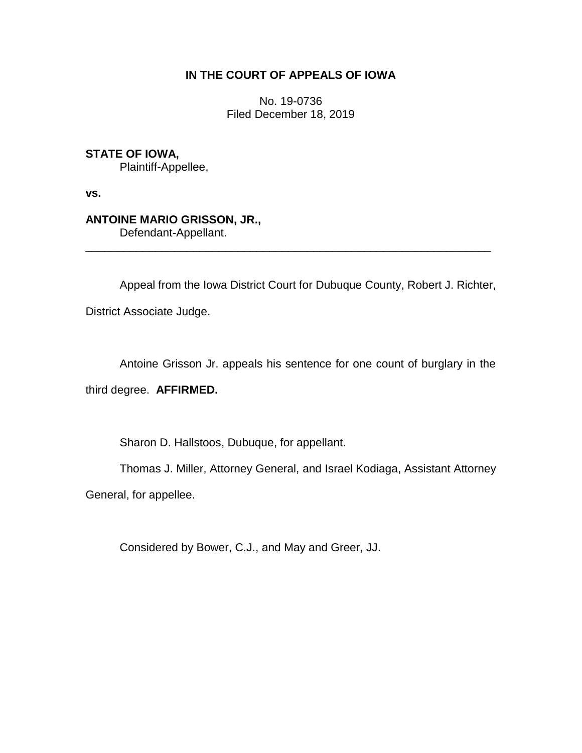# **IN THE COURT OF APPEALS OF IOWA**

No. 19-0736 Filed December 18, 2019

**STATE OF IOWA,**

Plaintiff-Appellee,

**vs.**

**ANTOINE MARIO GRISSON, JR.,**

Defendant-Appellant.

Appeal from the Iowa District Court for Dubuque County, Robert J. Richter,

\_\_\_\_\_\_\_\_\_\_\_\_\_\_\_\_\_\_\_\_\_\_\_\_\_\_\_\_\_\_\_\_\_\_\_\_\_\_\_\_\_\_\_\_\_\_\_\_\_\_\_\_\_\_\_\_\_\_\_\_\_\_\_\_

District Associate Judge.

Antoine Grisson Jr. appeals his sentence for one count of burglary in the

third degree. **AFFIRMED.**

Sharon D. Hallstoos, Dubuque, for appellant.

Thomas J. Miller, Attorney General, and Israel Kodiaga, Assistant Attorney

General, for appellee.

Considered by Bower, C.J., and May and Greer, JJ.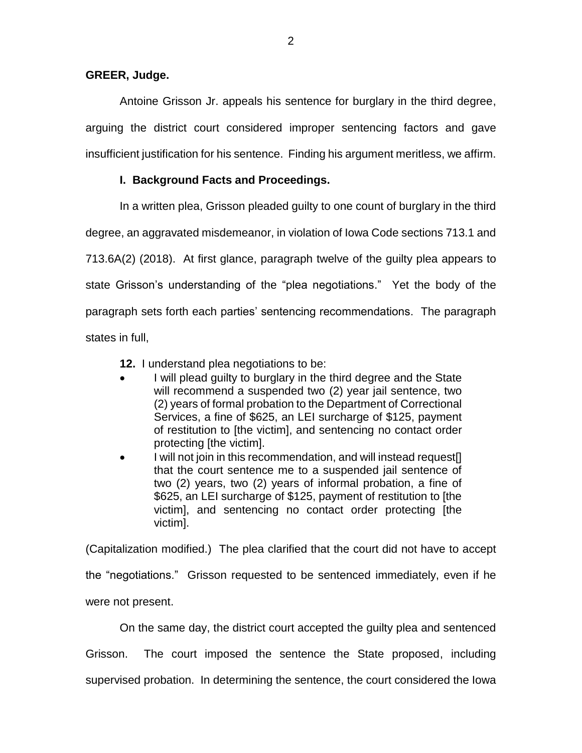### **GREER, Judge.**

Antoine Grisson Jr. appeals his sentence for burglary in the third degree, arguing the district court considered improper sentencing factors and gave insufficient justification for his sentence. Finding his argument meritless, we affirm.

## **I. Background Facts and Proceedings.**

In a written plea, Grisson pleaded guilty to one count of burglary in the third degree, an aggravated misdemeanor, in violation of Iowa Code sections 713.1 and 713.6A(2) (2018). At first glance, paragraph twelve of the guilty plea appears to state Grisson's understanding of the "plea negotiations." Yet the body of the paragraph sets forth each parties' sentencing recommendations. The paragraph states in full,

**12.** I understand plea negotiations to be:

- I will plead guilty to burglary in the third degree and the State will recommend a suspended two (2) year jail sentence, two (2) years of formal probation to the Department of Correctional Services, a fine of \$625, an LEI surcharge of \$125, payment of restitution to [the victim], and sentencing no contact order protecting [the victim].
- I will not join in this recommendation, and will instead request[] that the court sentence me to a suspended jail sentence of two (2) years, two (2) years of informal probation, a fine of \$625, an LEI surcharge of \$125, payment of restitution to [the victim], and sentencing no contact order protecting [the victim].

(Capitalization modified.) The plea clarified that the court did not have to accept the "negotiations." Grisson requested to be sentenced immediately, even if he were not present.

On the same day, the district court accepted the guilty plea and sentenced Grisson. The court imposed the sentence the State proposed, including supervised probation. In determining the sentence, the court considered the Iowa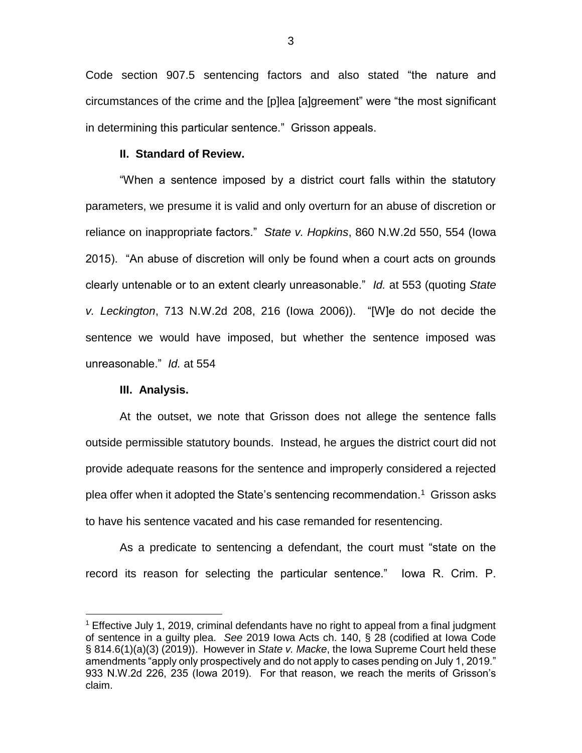Code section 907.5 sentencing factors and also stated "the nature and circumstances of the crime and the [p]lea [a]greement" were "the most significant in determining this particular sentence." Grisson appeals.

#### **II. Standard of Review.**

"When a sentence imposed by a district court falls within the statutory parameters, we presume it is valid and only overturn for an abuse of discretion or reliance on inappropriate factors." *State v. Hopkins*, 860 N.W.2d 550, 554 (Iowa 2015). "An abuse of discretion will only be found when a court acts on grounds clearly untenable or to an extent clearly unreasonable." *Id.* at 553 (quoting *State v. Leckington*, 713 N.W.2d 208, 216 (Iowa 2006)). "[W]e do not decide the sentence we would have imposed, but whether the sentence imposed was unreasonable." *Id.* at 554

#### **III. Analysis.**

 $\overline{a}$ 

At the outset, we note that Grisson does not allege the sentence falls outside permissible statutory bounds. Instead, he argues the district court did not provide adequate reasons for the sentence and improperly considered a rejected plea offer when it adopted the State's sentencing recommendation.<sup>1</sup> Grisson asks to have his sentence vacated and his case remanded for resentencing.

As a predicate to sentencing a defendant, the court must "state on the record its reason for selecting the particular sentence." Iowa R. Crim. P.

<sup>1</sup> Effective July 1, 2019, criminal defendants have no right to appeal from a final judgment of sentence in a guilty plea. *See* 2019 Iowa Acts ch. 140, § 28 (codified at Iowa Code § 814.6(1)(a)(3) (2019)). However in *State v. Macke*, the Iowa Supreme Court held these amendments "apply only prospectively and do not apply to cases pending on July 1, 2019." 933 N.W.2d 226, 235 (Iowa 2019). For that reason, we reach the merits of Grisson's claim.